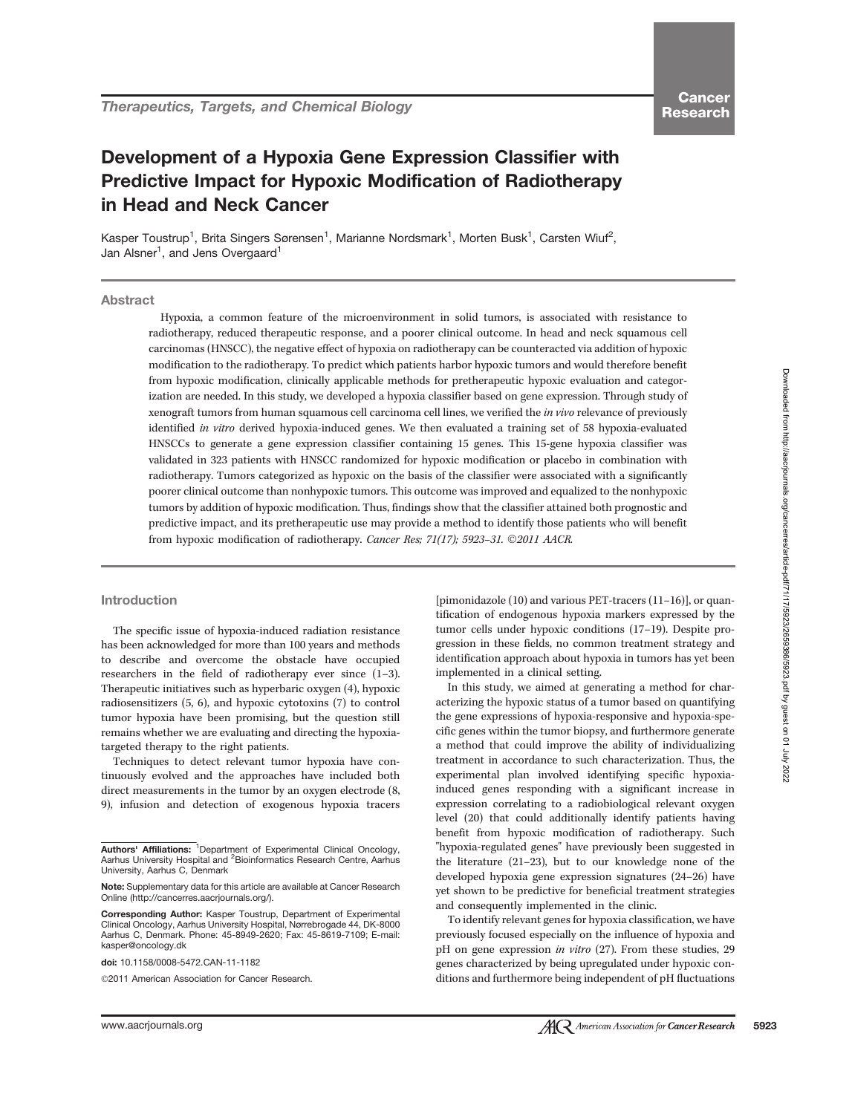# Downloaded from http://aacrjournals.org/cancerres/article-pdf/71/17/5923/2659386/5923.pdf by guest on 01 July 2022 Downloaded from http://aacrjournals.org/cancerres/article-pdf/71/17/5923/2659386/5923.pdf by guest on 01 July 2022

# Development of a Hypoxia Gene Expression Classifier with Predictive Impact for Hypoxic Modification of Radiotherapy in Head and Neck Cancer

Kasper Toustrup<sup>1</sup>, Brita Singers Sørensen<sup>1</sup>, Marianne Nordsmark<sup>1</sup>, Morten Busk<sup>1</sup>, Carsten Wiuf<sup>2</sup>, Jan Alsner<sup>1</sup>, and Jens Overgaard<sup>1</sup>

# Abstract

Hypoxia, a common feature of the microenvironment in solid tumors, is associated with resistance to radiotherapy, reduced therapeutic response, and a poorer clinical outcome. In head and neck squamous cell carcinomas (HNSCC), the negative effect of hypoxia on radiotherapy can be counteracted via addition of hypoxic modification to the radiotherapy. To predict which patients harbor hypoxic tumors and would therefore benefit from hypoxic modification, clinically applicable methods for pretherapeutic hypoxic evaluation and categorization are needed. In this study, we developed a hypoxia classifier based on gene expression. Through study of xenograft tumors from human squamous cell carcinoma cell lines, we verified the in vivo relevance of previously identified in vitro derived hypoxia-induced genes. We then evaluated a training set of 58 hypoxia-evaluated HNSCCs to generate a gene expression classifier containing 15 genes. This 15-gene hypoxia classifier was validated in 323 patients with HNSCC randomized for hypoxic modification or placebo in combination with radiotherapy. Tumors categorized as hypoxic on the basis of the classifier were associated with a significantly poorer clinical outcome than nonhypoxic tumors. This outcome was improved and equalized to the nonhypoxic tumors by addition of hypoxic modification. Thus, findings show that the classifier attained both prognostic and predictive impact, and its pretherapeutic use may provide a method to identify those patients who will benefit from hypoxic modification of radiotherapy. Cancer Res; 71(17); 5923-31. 2011 AACR.

### Introduction

The specific issue of hypoxia-induced radiation resistance has been acknowledged for more than 100 years and methods to describe and overcome the obstacle have occupied researchers in the field of radiotherapy ever since (1–3). Therapeutic initiatives such as hyperbaric oxygen (4), hypoxic radiosensitizers (5, 6), and hypoxic cytotoxins (7) to control tumor hypoxia have been promising, but the question still remains whether we are evaluating and directing the hypoxiatargeted therapy to the right patients.

Techniques to detect relevant tumor hypoxia have continuously evolved and the approaches have included both direct measurements in the tumor by an oxygen electrode (8, 9), infusion and detection of exogenous hypoxia tracers

Corresponding Author: Kasper Toustrup, Department of Experimental Clinical Oncology, Aarhus University Hospital, Nørrebrogade 44, DK-8000 Aarhus C, Denmark. Phone: 45-8949-2620; Fax: 45-8619-7109; E-mail: kasper@oncology.dk

doi: 10.1158/0008-5472.CAN-11-1182

2011 American Association for Cancer Research.

[pimonidazole (10) and various PET-tracers (11–16)], or quantification of endogenous hypoxia markers expressed by the tumor cells under hypoxic conditions (17–19). Despite progression in these fields, no common treatment strategy and identification approach about hypoxia in tumors has yet been implemented in a clinical setting.

In this study, we aimed at generating a method for characterizing the hypoxic status of a tumor based on quantifying the gene expressions of hypoxia-responsive and hypoxia-specific genes within the tumor biopsy, and furthermore generate a method that could improve the ability of individualizing treatment in accordance to such characterization. Thus, the experimental plan involved identifying specific hypoxiainduced genes responding with a significant increase in expression correlating to a radiobiological relevant oxygen level (20) that could additionally identify patients having benefit from hypoxic modification of radiotherapy. Such "hypoxia-regulated genes" have previously been suggested in the literature (21–23), but to our knowledge none of the developed hypoxia gene expression signatures (24–26) have yet shown to be predictive for beneficial treatment strategies and consequently implemented in the clinic.

To identify relevant genes for hypoxia classification, we have previously focused especially on the influence of hypoxia and pH on gene expression in vitro (27). From these studies, 29 genes characterized by being upregulated under hypoxic conditions and furthermore being independent of pH fluctuations

Authors' Affiliations: <sup>1</sup>Department of Experimental Clinical Oncology, Aarhus University Hospital and <sup>2</sup> Bioinformatics Research Centre, Aarhus University, Aarhus C, Denmark

Note: Supplementary data for this article are available at Cancer Research Online (http://cancerres.aacrjournals.org/).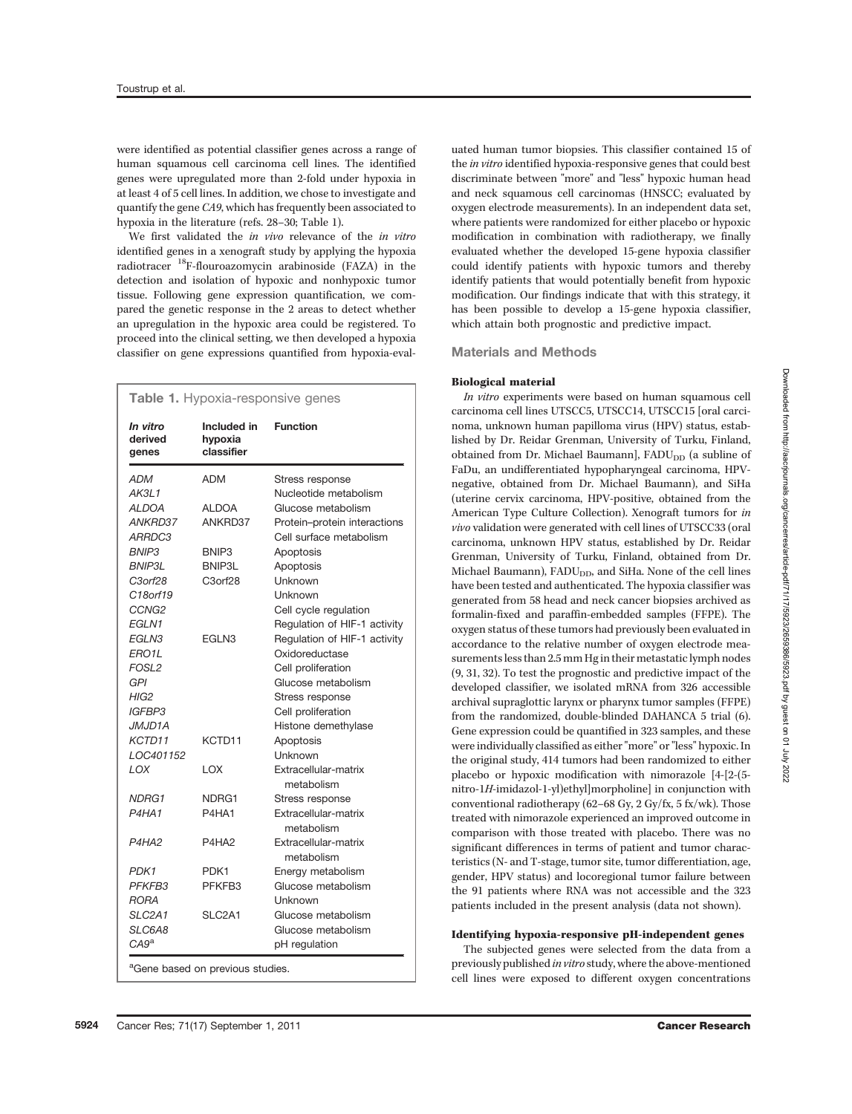were identified as potential classifier genes across a range of human squamous cell carcinoma cell lines. The identified genes were upregulated more than 2-fold under hypoxia in at least 4 of 5 cell lines. In addition, we chose to investigate and quantify the gene CA9, which has frequently been associated to hypoxia in the literature (refs. 28–30; Table 1).

We first validated the in vivo relevance of the in vitro identified genes in a xenograft study by applying the hypoxia radiotracer 18F-flouroazomycin arabinoside (FAZA) in the detection and isolation of hypoxic and nonhypoxic tumor tissue. Following gene expression quantification, we compared the genetic response in the 2 areas to detect whether an upregulation in the hypoxic area could be registered. To proceed into the clinical setting, we then developed a hypoxia classifier on gene expressions quantified from hypoxia-eval-

| Table 1. Hypoxia-responsive genes                 |                                      |                                    |
|---------------------------------------------------|--------------------------------------|------------------------------------|
| In vitro<br>derived<br>genes                      | Included in<br>hypoxia<br>classifier | <b>Function</b>                    |
| <b>ADM</b>                                        | <b>ADM</b>                           | Stress response                    |
| AK3L1                                             |                                      | Nucleotide metabolism              |
| <b>ALDOA</b>                                      | <b>ALDOA</b>                         | Glucose metabolism                 |
| ANKRD37                                           | ANKRD37                              | Protein-protein interactions       |
| ARRDC3                                            |                                      | Cell surface metabolism            |
| BNIP3                                             | BNIP3                                | Apoptosis                          |
| <b>BNIP3L</b>                                     | BNIP3L                               | Apoptosis                          |
| C3orf28                                           | C3orf28                              | <b>Unknown</b>                     |
| C18orf19                                          |                                      | Unknown                            |
| CCNG <sub>2</sub>                                 |                                      | Cell cycle regulation              |
| EGLN1                                             |                                      | Regulation of HIF-1 activity       |
| EGLN3                                             | EGLN3                                | Regulation of HIF-1 activity       |
| ERO1L                                             |                                      | Oxidoreductase                     |
| FOSL <sub>2</sub>                                 |                                      | Cell proliferation                 |
| GPI                                               |                                      | Glucose metabolism                 |
| HIG2                                              |                                      | Stress response                    |
| <b>IGFBP3</b>                                     |                                      | Cell proliferation                 |
| JMJD1A                                            |                                      | Histone demethylase                |
| KCTD11                                            | KCTD11                               | Apoptosis                          |
| LOC401152                                         |                                      | Unknown                            |
| LOX                                               | LOX                                  | Extracellular-matrix<br>metabolism |
| NDRG1                                             | NDRG1                                | Stress response                    |
| P4HA1                                             | P4HA1                                | Extracellular-matrix<br>metabolism |
| P4HA2                                             | P4HA <sub>2</sub>                    | Extracellular-matrix<br>metabolism |
| PDK1                                              | PDK1                                 | Energy metabolism                  |
| PFKFB3                                            | PFKFB3                               | Glucose metabolism                 |
| <b>RORA</b>                                       |                                      | Unknown                            |
| SLC <sub>2A1</sub>                                | SLC <sub>2A1</sub>                   | Glucose metabolism                 |
| SLC6A8                                            |                                      | Glucose metabolism                 |
| $C A 9^a$                                         |                                      | pH regulation                      |
| $a_{\text{Cana}}$ hosed as<br>ومنامسهم ويبون بمعو |                                      |                                    |

<sup>a</sup>Gene based on previous studies.

uated human tumor biopsies. This classifier contained 15 of the in vitro identified hypoxia-responsive genes that could best discriminate between "more" and "less" hypoxic human head and neck squamous cell carcinomas (HNSCC; evaluated by oxygen electrode measurements). In an independent data set, where patients were randomized for either placebo or hypoxic modification in combination with radiotherapy, we finally evaluated whether the developed 15-gene hypoxia classifier could identify patients with hypoxic tumors and thereby identify patients that would potentially benefit from hypoxic modification. Our findings indicate that with this strategy, it has been possible to develop a 15-gene hypoxia classifier, which attain both prognostic and predictive impact.

# Materials and Methods

# Biological material

In vitro experiments were based on human squamous cell carcinoma cell lines UTSCC5, UTSCC14, UTSCC15 [oral carcinoma, unknown human papilloma virus (HPV) status, established by Dr. Reidar Grenman, University of Turku, Finland, obtained from Dr. Michael Baumann],  $FADU<sub>DD</sub>$  (a subline of FaDu, an undifferentiated hypopharyngeal carcinoma, HPVnegative, obtained from Dr. Michael Baumann), and SiHa (uterine cervix carcinoma, HPV-positive, obtained from the American Type Culture Collection). Xenograft tumors for in vivo validation were generated with cell lines of UTSCC33 (oral carcinoma, unknown HPV status, established by Dr. Reidar Grenman, University of Turku, Finland, obtained from Dr. Michael Baumann), FADU<sub>DD</sub>, and SiHa. None of the cell lines have been tested and authenticated. The hypoxia classifier was generated from 58 head and neck cancer biopsies archived as formalin-fixed and paraffin-embedded samples (FFPE). The oxygen status of these tumors had previously been evaluated in accordance to the relative number of oxygen electrode measurements less than 2.5 mm Hg in their metastatic lymph nodes (9, 31, 32). To test the prognostic and predictive impact of the developed classifier, we isolated mRNA from 326 accessible archival supraglottic larynx or pharynx tumor samples (FFPE) from the randomized, double-blinded DAHANCA 5 trial (6). Gene expression could be quantified in 323 samples, and these were individually classified as either "more" or "less" hypoxic. In the original study, 414 tumors had been randomized to either placebo or hypoxic modification with nimorazole [4-[2-(5 nitro-1H-imidazol-1-yl)ethyl]morpholine] in conjunction with conventional radiotherapy (62–68 Gy, 2 Gy/fx, 5 fx/wk). Those treated with nimorazole experienced an improved outcome in comparison with those treated with placebo. There was no significant differences in terms of patient and tumor characteristics (N- and T-stage, tumor site, tumor differentiation, age, gender, HPV status) and locoregional tumor failure between the 91 patients where RNA was not accessible and the 323 patients included in the present analysis (data not shown).

### Identifying hypoxia-responsive pH-independent genes

The subjected genes were selected from the data from a previously published in vitro study, where the above-mentioned cell lines were exposed to different oxygen concentrations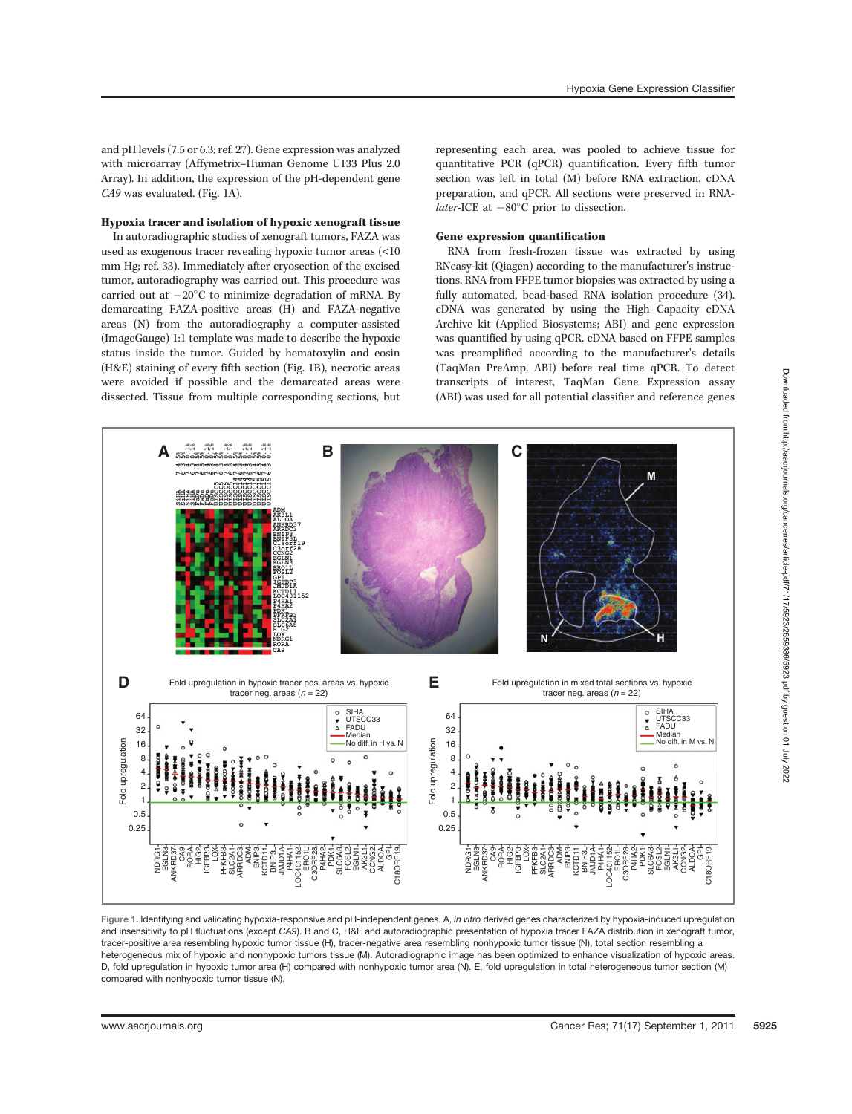and pH levels (7.5 or 6.3; ref. 27). Gene expression was analyzed with microarray (Affymetrix–Human Genome U133 Plus 2.0 Array). In addition, the expression of the pH-dependent gene CA9 was evaluated. (Fig. 1A).

### Hypoxia tracer and isolation of hypoxic xenograft tissue

In autoradiographic studies of xenograft tumors, FAZA was used as exogenous tracer revealing hypoxic tumor areas (<10 mm Hg; ref. 33). Immediately after cryosection of the excised tumor, autoradiography was carried out. This procedure was carried out at  $-20^{\circ}$ C to minimize degradation of mRNA. By demarcating FAZA-positive areas (H) and FAZA-negative areas (N) from the autoradiography a computer-assisted (ImageGauge) 1:1 template was made to describe the hypoxic status inside the tumor. Guided by hematoxylin and eosin (H&E) staining of every fifth section (Fig. 1B), necrotic areas were avoided if possible and the demarcated areas were dissected. Tissue from multiple corresponding sections, but representing each area, was pooled to achieve tissue for quantitative PCR (qPCR) quantification. Every fifth tumor section was left in total (M) before RNA extraction, cDNA preparation, and qPCR. All sections were preserved in RNA*later*-ICE at  $-80^{\circ}$ C prior to dissection.

### Gene expression quantification

RNA from fresh-frozen tissue was extracted by using RNeasy-kit (Qiagen) according to the manufacturer's instructions. RNA from FFPE tumor biopsies was extracted by using a fully automated, bead-based RNA isolation procedure (34). cDNA was generated by using the High Capacity cDNA Archive kit (Applied Biosystems; ABI) and gene expression was quantified by using qPCR. cDNA based on FFPE samples was preamplified according to the manufacturer's details (TaqMan PreAmp, ABI) before real time qPCR. To detect transcripts of interest, TaqMan Gene Expression assay (ABI) was used for all potential classifier and reference genes



Figure 1. Identifying and validating hypoxia-responsive and pH-independent genes. A, in vitro derived genes characterized by hypoxia-induced upregulation and insensitivity to pH fluctuations (except CA9). B and C, H&E and autoradiographic presentation of hypoxia tracer FAZA distribution in xenograft tumor, tracer-positive area resembling hypoxic tumor tissue (H), tracer-negative area resembling nonhypoxic tumor tissue (N), total section resembling a heterogeneous mix of hypoxic and nonhypoxic tumors tissue (M). Autoradiographic image has been optimized to enhance visualization of hypoxic areas. D, fold upregulation in hypoxic tumor area (H) compared with nonhypoxic tumor area (N). E, fold upregulation in total heterogeneous tumor section (M) compared with nonhypoxic tumor tissue (N).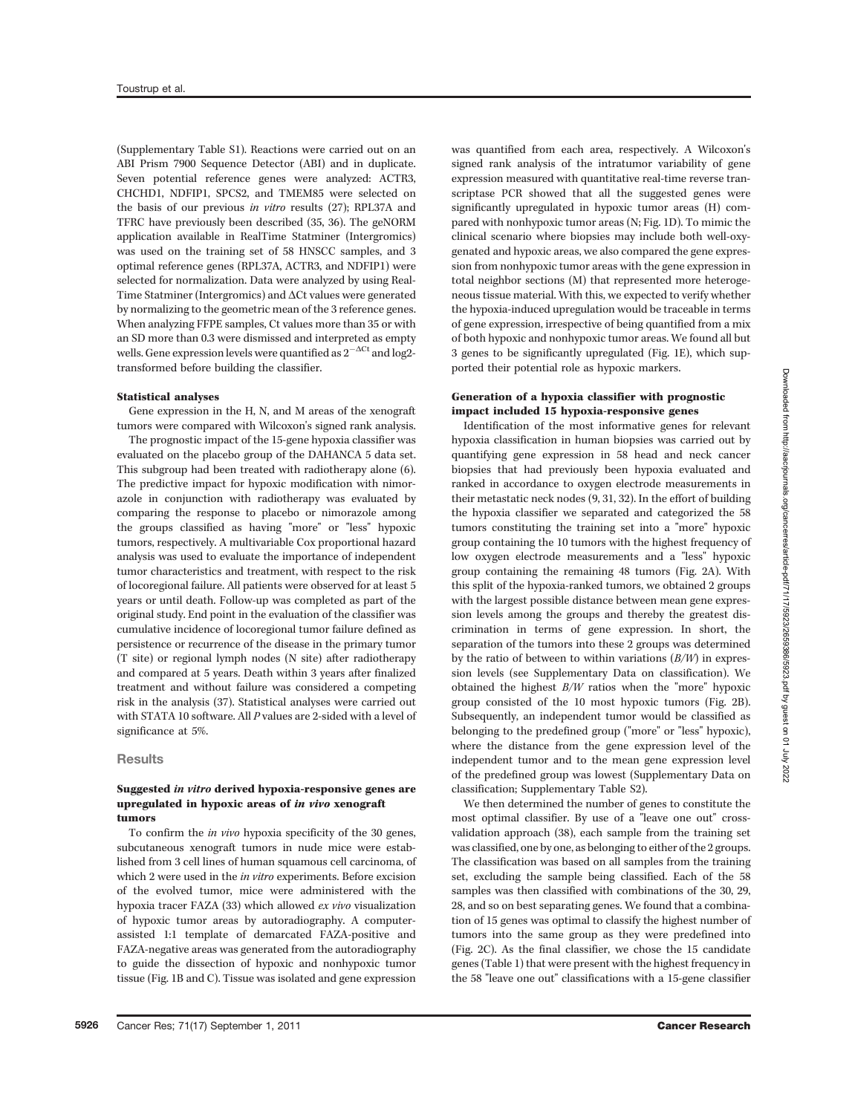(Supplementary Table S1). Reactions were carried out on an ABI Prism 7900 Sequence Detector (ABI) and in duplicate. Seven potential reference genes were analyzed: ACTR3, CHCHD1, NDFIP1, SPCS2, and TMEM85 were selected on the basis of our previous in vitro results (27); RPL37A and TFRC have previously been described (35, 36). The geNORM application available in RealTime Statminer (Intergromics) was used on the training set of 58 HNSCC samples, and 3 optimal reference genes (RPL37A, ACTR3, and NDFIP1) were selected for normalization. Data were analyzed by using Real-Time Statminer (Intergromics) and  $\Delta$ Ct values were generated by normalizing to the geometric mean of the 3 reference genes. When analyzing FFPE samples, Ct values more than 35 or with an SD more than 0.3 were dismissed and interpreted as empty wells. Gene expression levels were quantified as  $2^{-\Delta Ct}$  and log2transformed before building the classifier.

### Statistical analyses

Gene expression in the H, N, and M areas of the xenograft tumors were compared with Wilcoxon's signed rank analysis.

The prognostic impact of the 15-gene hypoxia classifier was evaluated on the placebo group of the DAHANCA 5 data set. This subgroup had been treated with radiotherapy alone (6). The predictive impact for hypoxic modification with nimorazole in conjunction with radiotherapy was evaluated by comparing the response to placebo or nimorazole among the groups classified as having "more" or "less" hypoxic tumors, respectively. A multivariable Cox proportional hazard analysis was used to evaluate the importance of independent tumor characteristics and treatment, with respect to the risk of locoregional failure. All patients were observed for at least 5 years or until death. Follow-up was completed as part of the original study. End point in the evaluation of the classifier was cumulative incidence of locoregional tumor failure defined as persistence or recurrence of the disease in the primary tumor (T site) or regional lymph nodes (N site) after radiotherapy and compared at 5 years. Death within 3 years after finalized treatment and without failure was considered a competing risk in the analysis (37). Statistical analyses were carried out with STATA 10 software. All P values are 2-sided with a level of significance at 5%.

### **Results**

### Suggested in vitro derived hypoxia-responsive genes are upregulated in hypoxic areas of in vivo xenograft tumors

To confirm the in vivo hypoxia specificity of the 30 genes, subcutaneous xenograft tumors in nude mice were established from 3 cell lines of human squamous cell carcinoma, of which 2 were used in the in vitro experiments. Before excision of the evolved tumor, mice were administered with the hypoxia tracer FAZA (33) which allowed ex vivo visualization of hypoxic tumor areas by autoradiography. A computerassisted 1:1 template of demarcated FAZA-positive and FAZA-negative areas was generated from the autoradiography to guide the dissection of hypoxic and nonhypoxic tumor tissue (Fig. 1B and C). Tissue was isolated and gene expression was quantified from each area, respectively. A Wilcoxon's signed rank analysis of the intratumor variability of gene expression measured with quantitative real-time reverse transcriptase PCR showed that all the suggested genes were significantly upregulated in hypoxic tumor areas (H) compared with nonhypoxic tumor areas (N; Fig. 1D). To mimic the clinical scenario where biopsies may include both well-oxygenated and hypoxic areas, we also compared the gene expression from nonhypoxic tumor areas with the gene expression in total neighbor sections (M) that represented more heterogeneous tissue material. With this, we expected to verify whether the hypoxia-induced upregulation would be traceable in terms of gene expression, irrespective of being quantified from a mix of both hypoxic and nonhypoxic tumor areas. We found all but 3 genes to be significantly upregulated (Fig. 1E), which supported their potential role as hypoxic markers.

### Generation of a hypoxia classifier with prognostic impact included 15 hypoxia-responsive genes

Identification of the most informative genes for relevant hypoxia classification in human biopsies was carried out by quantifying gene expression in 58 head and neck cancer biopsies that had previously been hypoxia evaluated and ranked in accordance to oxygen electrode measurements in their metastatic neck nodes (9, 31, 32). In the effort of building the hypoxia classifier we separated and categorized the 58 tumors constituting the training set into a "more" hypoxic group containing the 10 tumors with the highest frequency of low oxygen electrode measurements and a "less" hypoxic group containing the remaining 48 tumors (Fig. 2A). With this split of the hypoxia-ranked tumors, we obtained 2 groups with the largest possible distance between mean gene expression levels among the groups and thereby the greatest discrimination in terms of gene expression. In short, the separation of the tumors into these 2 groups was determined by the ratio of between to within variations  $(B/W)$  in expression levels (see Supplementary Data on classification). We obtained the highest B/W ratios when the "more" hypoxic group consisted of the 10 most hypoxic tumors (Fig. 2B). Subsequently, an independent tumor would be classified as belonging to the predefined group ("more" or "less" hypoxic), where the distance from the gene expression level of the independent tumor and to the mean gene expression level of the predefined group was lowest (Supplementary Data on classification; Supplementary Table S2).

We then determined the number of genes to constitute the most optimal classifier. By use of a "leave one out" crossvalidation approach (38), each sample from the training set was classified, one by one, as belonging to either of the 2 groups. The classification was based on all samples from the training set, excluding the sample being classified. Each of the 58 samples was then classified with combinations of the 30, 29, 28, and so on best separating genes. We found that a combination of 15 genes was optimal to classify the highest number of tumors into the same group as they were predefined into (Fig. 2C). As the final classifier, we chose the 15 candidate genes (Table 1) that were present with the highest frequency in the 58 "leave one out" classifications with a 15-gene classifier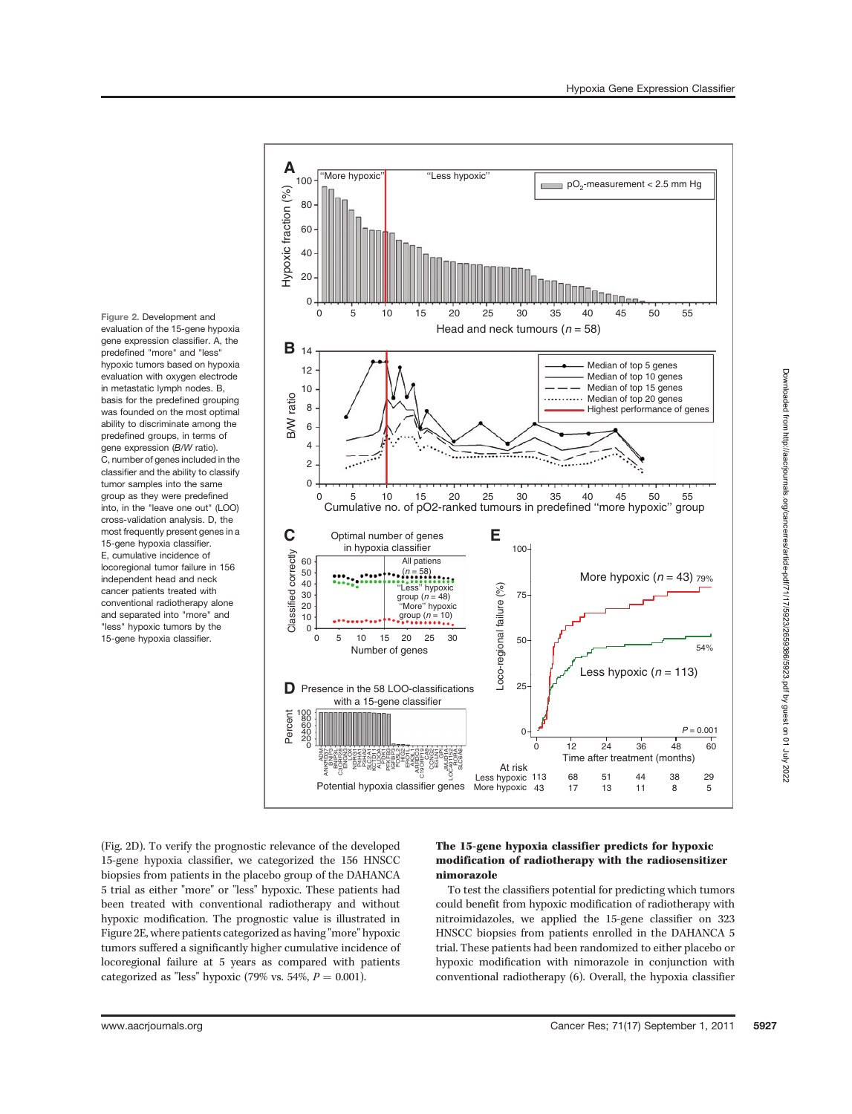Figure 2. Development and evaluation of the 15-gene hypoxia gene expression classifier. A, the predefined "more" and "less" hypoxic tumors based on hypoxia evaluation with oxygen electrode in metastatic lymph nodes. B, basis for the predefined grouping was founded on the most optimal ability to discriminate among the predefined groups, in terms of gene expression (B/W ratio). C, number of genes included in the classifier and the ability to classify tumor samples into the same group as they were predefined into, in the "leave one out" (LOO) cross-validation analysis. D, the most frequently present genes in a 15-gene hypoxia classifier. E, cumulative incidence of locoregional tumor failure in 156 independent head and neck cancer patients treated with conventional radiotherapy alone and separated into "more" and "less" hypoxic tumors by the 15-gene hypoxia classifier.



(Fig. 2D). To verify the prognostic relevance of the developed 15-gene hypoxia classifier, we categorized the 156 HNSCC biopsies from patients in the placebo group of the DAHANCA 5 trial as either "more" or "less" hypoxic. These patients had been treated with conventional radiotherapy and without hypoxic modification. The prognostic value is illustrated in Figure 2E, where patients categorized as having "more" hypoxic tumors suffered a significantly higher cumulative incidence of locoregional failure at 5 years as compared with patients categorized as "less" hypoxic (79% vs. 54%,  $P = 0.001$ ).

# The 15-gene hypoxia classifier predicts for hypoxic modification of radiotherapy with the radiosensitizer nimorazole

To test the classifiers potential for predicting which tumors could benefit from hypoxic modification of radiotherapy with nitroimidazoles, we applied the 15-gene classifier on 323 HNSCC biopsies from patients enrolled in the DAHANCA 5 trial. These patients had been randomized to either placebo or hypoxic modification with nimorazole in conjunction with conventional radiotherapy (6). Overall, the hypoxia classifier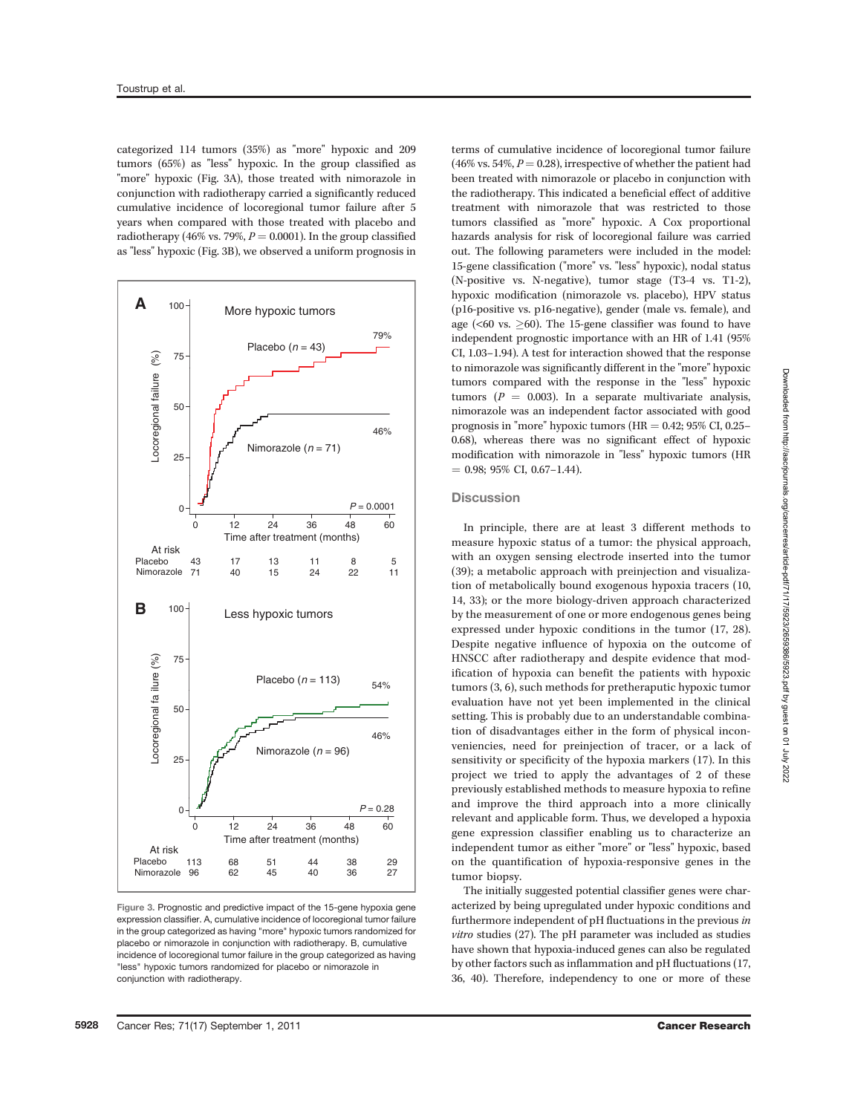categorized 114 tumors (35%) as "more" hypoxic and 209 tumors (65%) as "less" hypoxic. In the group classified as "more" hypoxic (Fig. 3A), those treated with nimorazole in conjunction with radiotherapy carried a significantly reduced cumulative incidence of locoregional tumor failure after 5 years when compared with those treated with placebo and radiotherapy (46% vs. 79%,  $P = 0.0001$ ). In the group classified as "less" hypoxic (Fig. 3B), we observed a uniform prognosis in



Figure 3. Prognostic and predictive impact of the 15-gene hypoxia gene expression classifier. A, cumulative incidence of locoregional tumor failure in the group categorized as having "more" hypoxic tumors randomized for placebo or nimorazole in conjunction with radiotherapy. B, cumulative incidence of locoregional tumor failure in the group categorized as having "less" hypoxic tumors randomized for placebo or nimorazole in conjunction with radiotherapy.

terms of cumulative incidence of locoregional tumor failure  $(46\% \text{ vs. } 54\%, P = 0.28)$ , irrespective of whether the patient had been treated with nimorazole or placebo in conjunction with the radiotherapy. This indicated a beneficial effect of additive treatment with nimorazole that was restricted to those tumors classified as "more" hypoxic. A Cox proportional hazards analysis for risk of locoregional failure was carried out. The following parameters were included in the model: 15-gene classification ("more" vs. "less" hypoxic), nodal status (N-positive vs. N-negative), tumor stage (T3-4 vs. T1-2), hypoxic modification (nimorazole vs. placebo), HPV status (p16-positive vs. p16-negative), gender (male vs. female), and age ( $\leq 60$  vs.  $\geq 60$ ). The 15-gene classifier was found to have independent prognostic importance with an HR of 1.41 (95% CI, 1.03–1.94). A test for interaction showed that the response to nimorazole was significantly different in the "more" hypoxic tumors compared with the response in the "less" hypoxic tumors ( $P = 0.003$ ). In a separate multivariate analysis, nimorazole was an independent factor associated with good prognosis in "more" hypoxic tumors (HR =  $0.42$ ; 95% CI, 0.25– 0.68), whereas there was no significant effect of hypoxic modification with nimorazole in "less" hypoxic tumors (HR  $= 0.98$ ; 95% CI, 0.67-1.44).

### **Discussion**

In principle, there are at least 3 different methods to measure hypoxic status of a tumor: the physical approach, with an oxygen sensing electrode inserted into the tumor (39); a metabolic approach with preinjection and visualization of metabolically bound exogenous hypoxia tracers (10, 14, 33); or the more biology-driven approach characterized by the measurement of one or more endogenous genes being expressed under hypoxic conditions in the tumor (17, 28). Despite negative influence of hypoxia on the outcome of HNSCC after radiotherapy and despite evidence that modification of hypoxia can benefit the patients with hypoxic tumors (3, 6), such methods for pretheraputic hypoxic tumor evaluation have not yet been implemented in the clinical setting. This is probably due to an understandable combination of disadvantages either in the form of physical inconveniencies, need for preinjection of tracer, or a lack of sensitivity or specificity of the hypoxia markers (17). In this project we tried to apply the advantages of 2 of these previously established methods to measure hypoxia to refine and improve the third approach into a more clinically relevant and applicable form. Thus, we developed a hypoxia gene expression classifier enabling us to characterize an independent tumor as either "more" or "less" hypoxic, based on the quantification of hypoxia-responsive genes in the tumor biopsy.

The initially suggested potential classifier genes were characterized by being upregulated under hypoxic conditions and furthermore independent of pH fluctuations in the previous in vitro studies (27). The pH parameter was included as studies have shown that hypoxia-induced genes can also be regulated by other factors such as inflammation and pH fluctuations (17, 36, 40). Therefore, independency to one or more of these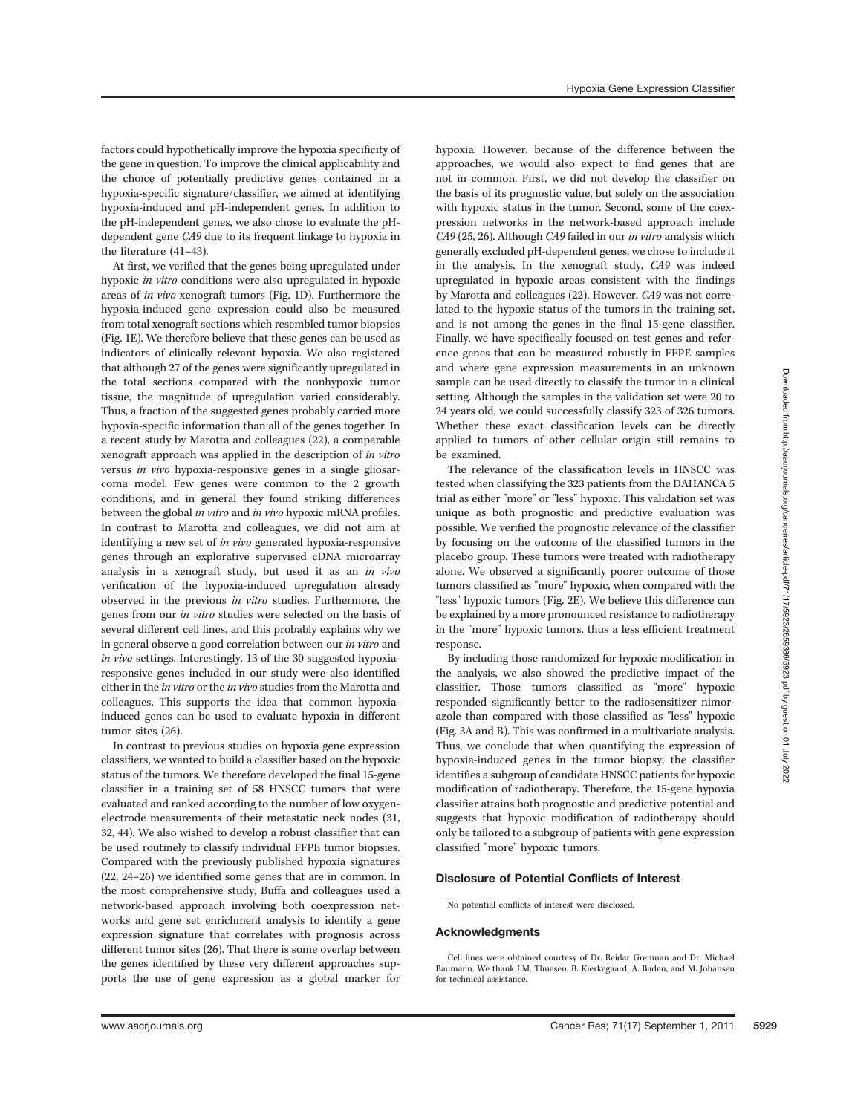factors could hypothetically improve the hypoxia specificity of the gene in question. To improve the clinical applicability and the choice of potentially predictive genes contained in a hypoxia-specific signature/classifier, we aimed at identifying hypoxia-induced and pH-independent genes. In addition to the pH-independent genes, we also chose to evaluate the pHdependent gene CA9 due to its frequent linkage to hypoxia in the literature (41–43).

At first, we verified that the genes being upregulated under hypoxic in vitro conditions were also upregulated in hypoxic areas of in vivo xenograft tumors (Fig. 1D). Furthermore the hypoxia-induced gene expression could also be measured from total xenograft sections which resembled tumor biopsies (Fig. 1E). We therefore believe that these genes can be used as indicators of clinically relevant hypoxia. We also registered that although 27 of the genes were significantly upregulated in the total sections compared with the nonhypoxic tumor tissue, the magnitude of upregulation varied considerably. Thus, a fraction of the suggested genes probably carried more hypoxia-specific information than all of the genes together. In a recent study by Marotta and colleagues (22), a comparable xenograft approach was applied in the description of in vitro versus in vivo hypoxia-responsive genes in a single gliosarcoma model. Few genes were common to the 2 growth conditions, and in general they found striking differences between the global in vitro and in vivo hypoxic mRNA profiles. In contrast to Marotta and colleagues, we did not aim at identifying a new set of in vivo generated hypoxia-responsive genes through an explorative supervised cDNA microarray analysis in a xenograft study, but used it as an in vivo verification of the hypoxia-induced upregulation already observed in the previous in vitro studies. Furthermore, the genes from our in vitro studies were selected on the basis of several different cell lines, and this probably explains why we in general observe a good correlation between our in vitro and in vivo settings. Interestingly, 13 of the 30 suggested hypoxiaresponsive genes included in our study were also identified either in the in vitro or the in vivo studies from the Marotta and colleagues. This supports the idea that common hypoxiainduced genes can be used to evaluate hypoxia in different tumor sites (26).

In contrast to previous studies on hypoxia gene expression classifiers, we wanted to build a classifier based on the hypoxic status of the tumors. We therefore developed the final 15-gene classifier in a training set of 58 HNSCC tumors that were evaluated and ranked according to the number of low oxygenelectrode measurements of their metastatic neck nodes (31, 32, 44). We also wished to develop a robust classifier that can be used routinely to classify individual FFPE tumor biopsies. Compared with the previously published hypoxia signatures (22, 24–26) we identified some genes that are in common. In the most comprehensive study, Buffa and colleagues used a network-based approach involving both coexpression networks and gene set enrichment analysis to identify a gene expression signature that correlates with prognosis across different tumor sites (26). That there is some overlap between the genes identified by these very different approaches supports the use of gene expression as a global marker for

hypoxia. However, because of the difference between the approaches, we would also expect to find genes that are not in common. First, we did not develop the classifier on the basis of its prognostic value, but solely on the association with hypoxic status in the tumor. Second, some of the coexpression networks in the network-based approach include CA9 (25, 26). Although CA9 failed in our in vitro analysis which generally excluded pH-dependent genes, we chose to include it in the analysis. In the xenograft study, CA9 was indeed upregulated in hypoxic areas consistent with the findings by Marotta and colleagues (22). However, CA9 was not correlated to the hypoxic status of the tumors in the training set, and is not among the genes in the final 15-gene classifier. Finally, we have specifically focused on test genes and reference genes that can be measured robustly in FFPE samples and where gene expression measurements in an unknown sample can be used directly to classify the tumor in a clinical setting. Although the samples in the validation set were 20 to 24 years old, we could successfully classify 323 of 326 tumors. Whether these exact classification levels can be directly applied to tumors of other cellular origin still remains to be examined.

The relevance of the classification levels in HNSCC was tested when classifying the 323 patients from the DAHANCA 5 trial as either "more" or "less" hypoxic. This validation set was unique as both prognostic and predictive evaluation was possible. We verified the prognostic relevance of the classifier by focusing on the outcome of the classified tumors in the placebo group. These tumors were treated with radiotherapy alone. We observed a significantly poorer outcome of those tumors classified as "more" hypoxic, when compared with the "less" hypoxic tumors (Fig. 2E). We believe this difference can be explained by a more pronounced resistance to radiotherapy in the "more" hypoxic tumors, thus a less efficient treatment response.

By including those randomized for hypoxic modification in the analysis, we also showed the predictive impact of the classifier. Those tumors classified as "more" hypoxic responded significantly better to the radiosensitizer nimorazole than compared with those classified as "less" hypoxic (Fig. 3A and B). This was confirmed in a multivariate analysis. Thus, we conclude that when quantifying the expression of hypoxia-induced genes in the tumor biopsy, the classifier identifies a subgroup of candidate HNSCC patients for hypoxic modification of radiotherapy. Therefore, the 15-gene hypoxia classifier attains both prognostic and predictive potential and suggests that hypoxic modification of radiotherapy should only be tailored to a subgroup of patients with gene expression classified "more" hypoxic tumors.

### Disclosure of Potential Conflicts of Interest

No potential conflicts of interest were disclosed.

### Acknowledgments

Cell lines were obtained courtesy of Dr. Reidar Grenman and Dr. Michael Baumann. We thank I.M. Thuesen, B. Kierkegaard, A. Baden, and M. Johansen for technical assistance.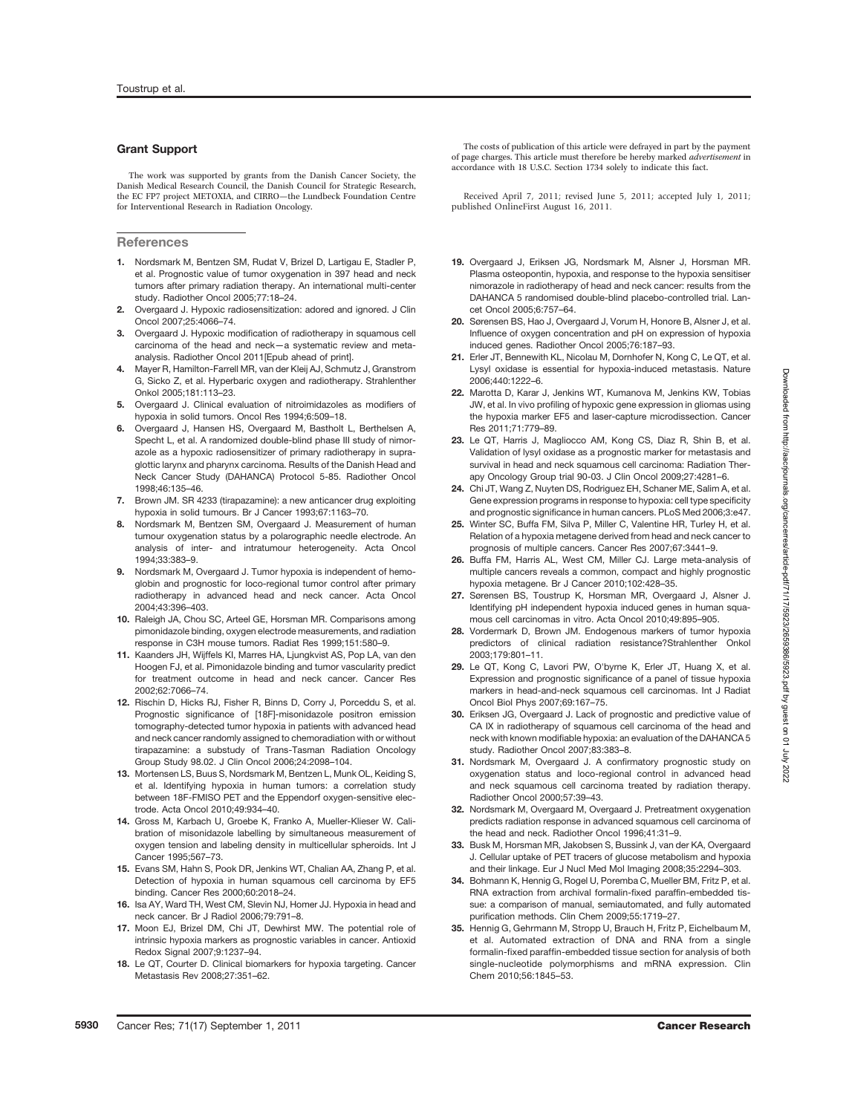### Grant Support

The work was supported by grants from the Danish Cancer Society, the Danish Medical Research Council, the Danish Council for Strategic Research, the EC FP7 project METOXIA, and CIRRO—the Lundbeck Foundation Centre for Interventional Research in Radiation Oncology.

### References

- 1. Nordsmark M, Bentzen SM, Rudat V, Brizel D, Lartigau E, Stadler P, et al. Prognostic value of tumor oxygenation in 397 head and neck tumors after primary radiation therapy. An international multi-center study. Radiother Oncol 2005;77:18–24.
- 2. Overgaard J. Hypoxic radiosensitization: adored and ignored. J Clin Oncol 2007;25:4066–74.
- 3. Overgaard J. Hypoxic modification of radiotherapy in squamous cell carcinoma of the head and neck—a systematic review and metaanalysis. Radiother Oncol 2011[Epub ahead of print].
- 4. Mayer R, Hamilton-Farrell MR, van der Kleij AJ, Schmutz J, Granstrom G, Sicko Z, et al. Hyperbaric oxygen and radiotherapy. Strahlenther Onkol 2005;181:113–23.
- 5. Overgaard J. Clinical evaluation of nitroimidazoles as modifiers of hypoxia in solid tumors. Oncol Res 1994;6:509–18.
- 6. Overgaard J, Hansen HS, Overgaard M, Bastholt L, Berthelsen A, Specht L, et al. A randomized double-blind phase III study of nimorazole as a hypoxic radiosensitizer of primary radiotherapy in supraglottic larynx and pharynx carcinoma. Results of the Danish Head and Neck Cancer Study (DAHANCA) Protocol 5-85. Radiother Oncol 1998;46:135–46.
- 7. Brown JM. SR 4233 (tirapazamine): a new anticancer drug exploiting hypoxia in solid tumours. Br J Cancer 1993;67:1163–70.
- 8. Nordsmark M, Bentzen SM, Overgaard J. Measurement of human tumour oxygenation status by a polarographic needle electrode. An analysis of inter- and intratumour heterogeneity. Acta Oncol 1994;33:383–9.
- 9. Nordsmark M, Overgaard J. Tumor hypoxia is independent of hemoglobin and prognostic for loco-regional tumor control after primary radiotherapy in advanced head and neck cancer. Acta Oncol 2004;43:396–403.
- 10. Raleigh JA, Chou SC, Arteel GE, Horsman MR. Comparisons among pimonidazole binding, oxygen electrode measurements, and radiation response in C3H mouse tumors. Radiat Res 1999;151:580–9.
- 11. Kaanders JH, Wijffels KI, Marres HA, Ljungkvist AS, Pop LA, van den Hoogen FJ, et al. Pimonidazole binding and tumor vascularity predict for treatment outcome in head and neck cancer. Cancer Res 2002;62:7066–74.
- 12. Rischin D, Hicks RJ, Fisher R, Binns D, Corry J, Porceddu S, et al. Prognostic significance of [18F]-misonidazole positron emission tomography-detected tumor hypoxia in patients with advanced head and neck cancer randomly assigned to chemoradiation with or without tirapazamine: a substudy of Trans-Tasman Radiation Oncology Group Study 98.02. J Clin Oncol 2006;24:2098–104.
- 13. Mortensen LS, Buus S, Nordsmark M, Bentzen L, Munk OL, Keiding S, et al. Identifying hypoxia in human tumors: a correlation study between 18F-FMISO PET and the Eppendorf oxygen-sensitive electrode. Acta Oncol 2010;49:934–40.
- 14. Gross M, Karbach U, Groebe K, Franko A, Mueller-Klieser W. Calibration of misonidazole labelling by simultaneous measurement of oxygen tension and labeling density in multicellular spheroids. Int J Cancer 1995;567–73.
- 15. Evans SM, Hahn S, Pook DR, Jenkins WT, Chalian AA, Zhang P, et al. Detection of hypoxia in human squamous cell carcinoma by EF5 binding. Cancer Res 2000;60:2018–24.
- 16. Isa AY, Ward TH, West CM, Slevin NJ, Homer JJ. Hypoxia in head and neck cancer. Br J Radiol 2006;79:791–8.
- 17. Moon EJ, Brizel DM, Chi JT, Dewhirst MW. The potential role of intrinsic hypoxia markers as prognostic variables in cancer. Antioxid Redox Signal 2007;9:1237–94.
- 18. Le QT, Courter D. Clinical biomarkers for hypoxia targeting. Cancer Metastasis Rev 2008;27:351–62.

The costs of publication of this article were defrayed in part by the payment of page charges. This article must therefore be hereby marked advertisement in accordance with 18 U.S.C. Section 1734 solely to indicate this fact.

Received April 7, 2011; revised June 5, 2011; accepted July 1, 2011; published OnlineFirst August 16, 2011.

- 19. Overgaard J, Eriksen JG, Nordsmark M, Alsner J, Horsman MR. Plasma osteopontin, hypoxia, and response to the hypoxia sensitiser nimorazole in radiotherapy of head and neck cancer: results from the DAHANCA 5 randomised double-blind placebo-controlled trial. Lancet Oncol 2005;6:757–64.
- 20. Sørensen BS, Hao J, Overgaard J, Vorum H, Honore B, Alsner J, et al. Influence of oxygen concentration and pH on expression of hypoxia induced genes. Radiother Oncol 2005;76:187–93.
- 21. Erler JT, Bennewith KL, Nicolau M, Dornhofer N, Kong C, Le QT, et al. Lysyl oxidase is essential for hypoxia-induced metastasis. Nature 2006;440:1222–6.
- 22. Marotta D, Karar J, Jenkins WT, Kumanova M, Jenkins KW, Tobias JW, et al. In vivo profiling of hypoxic gene expression in gliomas using the hypoxia marker EF5 and laser-capture microdissection. Cancer Res 2011;71:779–89.
- 23. Le QT, Harris J, Magliocco AM, Kong CS, Diaz R, Shin B, et al. Validation of lysyl oxidase as a prognostic marker for metastasis and survival in head and neck squamous cell carcinoma: Radiation Therapy Oncology Group trial 90-03. J Clin Oncol 2009;27:4281–6.
- 24. Chi JT, Wang Z, Nuyten DS, Rodriguez EH, Schaner ME, Salim A, et al. Gene expression programs in response to hypoxia: cell type specificity and prognostic significance in human cancers. PLoS Med 2006;3:e47.
- 25. Winter SC, Buffa FM, Silva P, Miller C, Valentine HR, Turley H, et al. Relation of a hypoxia metagene derived from head and neck cancer to prognosis of multiple cancers. Cancer Res 2007;67:3441–9.
- 26. Buffa FM, Harris AL, West CM, Miller CJ. Large meta-analysis of multiple cancers reveals a common, compact and highly prognostic hypoxia metagene. Br J Cancer 2010;102:428–35.
- 27. Sørensen BS, Toustrup K, Horsman MR, Overgaard J, Alsner J. Identifying pH independent hypoxia induced genes in human squamous cell carcinomas in vitro. Acta Oncol 2010;49:895–905.
- 28. Vordermark D, Brown JM. Endogenous markers of tumor hypoxia predictors of clinical radiation resistance?Strahlenther Onkol 2003;179:801–11.
- 29. Le QT, Kong C, Lavori PW, O'byrne K, Erler JT, Huang X, et al. Expression and prognostic significance of a panel of tissue hypoxia markers in head-and-neck squamous cell carcinomas. Int J Radiat Oncol Biol Phys 2007;69:167–75.
- 30. Eriksen JG, Overgaard J. Lack of prognostic and predictive value of CA IX in radiotherapy of squamous cell carcinoma of the head and neck with known modifiable hypoxia: an evaluation of the DAHANCA 5 study. Radiother Oncol 2007;83:383–8.
- 31. Nordsmark M, Overgaard J. A confirmatory prognostic study on oxygenation status and loco-regional control in advanced head and neck squamous cell carcinoma treated by radiation therapy. Radiother Oncol 2000;57:39–43.
- 32. Nordsmark M, Overgaard M, Overgaard J. Pretreatment oxygenation predicts radiation response in advanced squamous cell carcinoma of the head and neck. Radiother Oncol 1996;41:31–9.
- 33. Busk M, Horsman MR, Jakobsen S, Bussink J, van der KA, Overgaard J. Cellular uptake of PET tracers of glucose metabolism and hypoxia and their linkage. Eur J Nucl Med Mol Imaging 2008;35:2294–303.
- 34. Bohmann K, Hennig G, Rogel U, Poremba C, Mueller BM, Fritz P, et al. RNA extraction from archival formalin-fixed paraffin-embedded tissue: a comparison of manual, semiautomated, and fully automated purification methods. Clin Chem 2009;55:1719–27.
- 35. Hennig G, Gehrmann M, Stropp U, Brauch H, Fritz P, Eichelbaum M, et al. Automated extraction of DNA and RNA from a single formalin-fixed paraffin-embedded tissue section for analysis of both single-nucleotide polymorphisms and mRNA expression. Clin Chem 2010;56:1845–53.